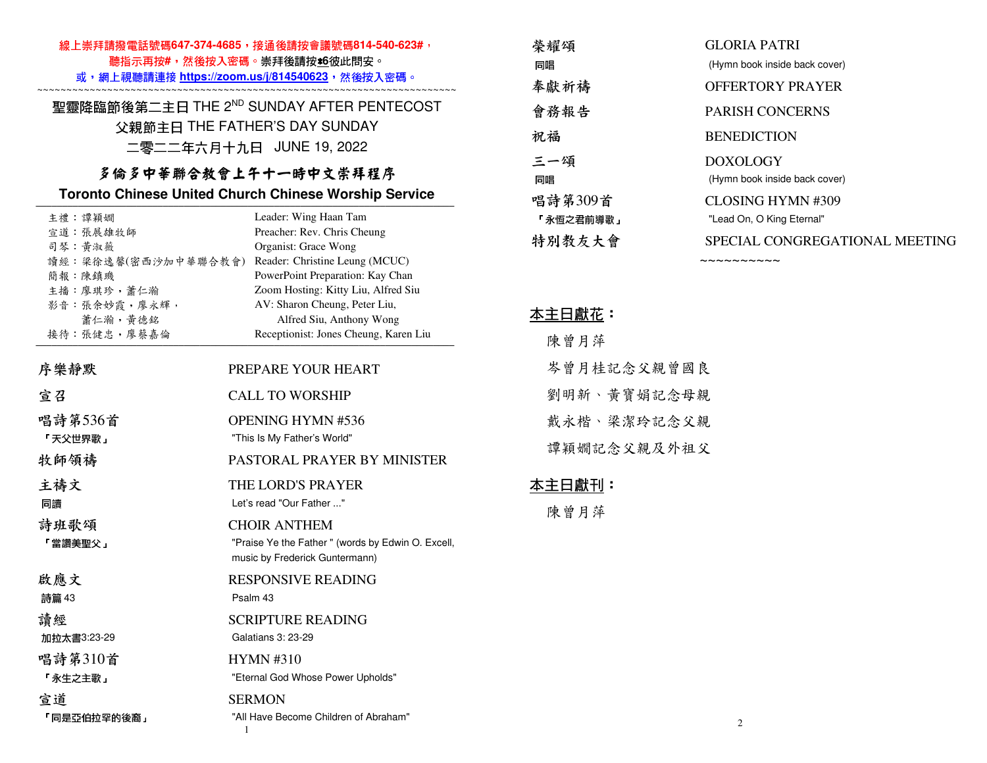| 線上崇拜請撥電話號碼647-374-4685,接通後請按會議號碼814-540-623#,<br>聽指示再按#,然後按入密碼。崇拜後請按s6彼此問安。<br>或,網上視聽請連接 https://zoom.us/j/814540623,然後按入密碼。                                                                   |                                                                                                                                                             | 榮耀頌<br>同唱<br>奉獻祈禱                                        | <b>GLORIA PATRI</b><br>(Hymn book inside back cover)<br><b>OFFERTORY PRAYER</b>                                       |
|------------------------------------------------------------------------------------------------------------------------------------------------------------------------------------------------|-------------------------------------------------------------------------------------------------------------------------------------------------------------|----------------------------------------------------------|-----------------------------------------------------------------------------------------------------------------------|
| 聖靈降臨節後第二主日 THE 2ND SUNDAY AFTER PENTECOST<br>父親節主日 THE FATHER'S DAY SUNDAY<br>二零二二年六月十九日 JUNE 19, 2022<br>多倫多中華聯合教會上午十一時中文崇拜程序<br><b>Toronto Chinese United Church Chinese Worship Service</b> |                                                                                                                                                             | 會務報告<br>祝福<br>三一頌<br>同唱<br>唱詩第309首                       | PARISH CONCERNS<br><b>BENEDICTION</b><br><b>DOXOLOGY</b><br>(Hymn book inside back cover)<br><b>CLOSING HYMN #309</b> |
|                                                                                                                                                                                                |                                                                                                                                                             |                                                          |                                                                                                                       |
| 主播:廖琪珍,蕭仁瀚<br>影音: 張余妙霞, 廖永輝,<br>蕭仁瀚,黃德銘<br>接待:張健忠,廖蔡嘉倫                                                                                                                                         | Zoom Hosting: Kitty Liu, Alfred Siu<br>AV: Sharon Cheung, Peter Liu,<br>Alfred Siu, Anthony Wong<br>Receptionist: Jones Cheung, Karen Liu                   |                                                          |                                                                                                                       |
| 序樂靜默                                                                                                                                                                                           | PREPARE YOUR HEART                                                                                                                                          | 岑曾月桂記念父親曾國良<br>劉明新、黃寶娟記念母親<br>戴永楷、梁潔玲記念父親<br>譚穎嫺記念父親及外祖父 |                                                                                                                       |
| 宣召                                                                                                                                                                                             | <b>CALL TO WORSHIP</b>                                                                                                                                      |                                                          |                                                                                                                       |
| 唱詩第536首<br>「天父世界歌」<br>牧師領禱                                                                                                                                                                     | <b>OPENING HYMN #536</b><br>"This Is My Father's World"<br>PASTORAL PRAYER BY MINISTER                                                                      |                                                          |                                                                                                                       |
| 主禱文<br>同讀<br>詩班歌頌<br>「當讚美聖父」                                                                                                                                                                   | THE LORD'S PRAYER<br>Let's read "Our Father "<br><b>CHOIR ANTHEM</b><br>"Praise Ye the Father" (words by Edwin O. Excell,<br>music by Frederick Guntermann) | <u> 本主日獻刊:</u><br>陳曾月萍                                   |                                                                                                                       |
| 啟應文<br>詩篇 43                                                                                                                                                                                   | <b>RESPONSIVE READING</b><br>Psalm 43                                                                                                                       |                                                          |                                                                                                                       |
| 讀經<br>加拉太書3:23-29                                                                                                                                                                              | <b>SCRIPTURE READING</b><br>Galatians 3: 23-29                                                                                                              |                                                          |                                                                                                                       |
| 唱詩第310首<br>「永生之主歌」                                                                                                                                                                             | <b>HYMN#310</b><br>"Eternal God Whose Power Upholds"                                                                                                        |                                                          |                                                                                                                       |
| 宣道<br>「同是亞伯拉罕的後裔」                                                                                                                                                                              | <b>SERMON</b><br>"All Have Become Children of Abraham"                                                                                                      |                                                          | 2                                                                                                                     |

1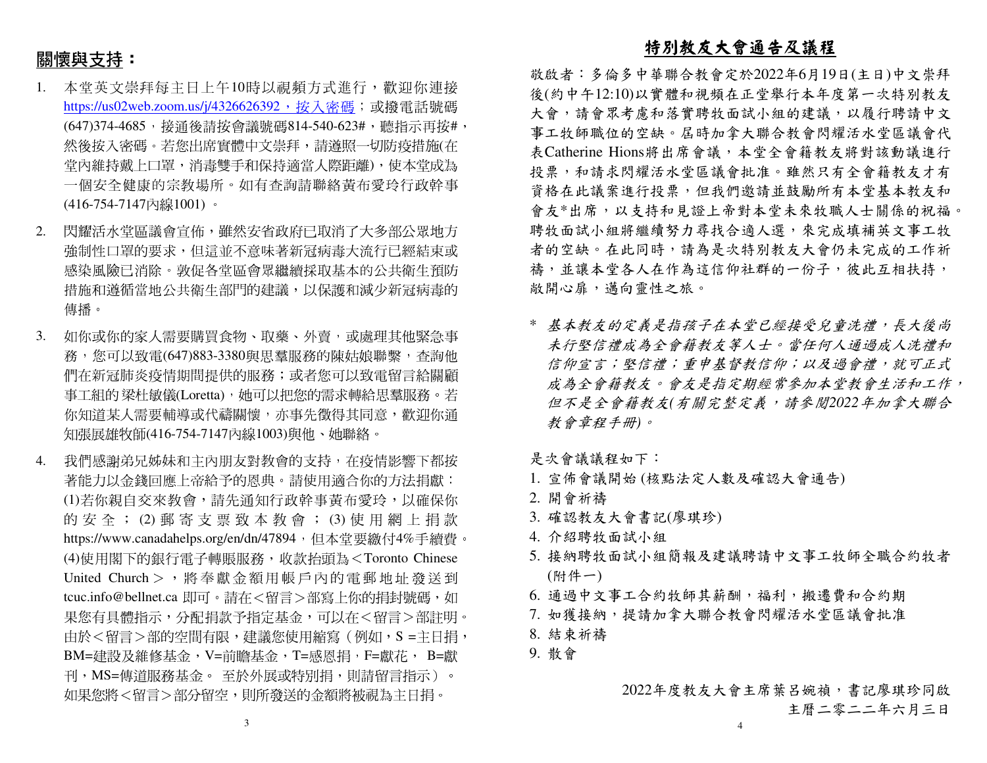# 關懷與支持:

- 本堂英文崇拜每主日上午10時以視頻方式進行,歡迎你連接1.<u>https://us02web.zoom.us/j/4326626392,按入密碼</u>;或撥電話號碼 (647)374-4685,接通後請按會議號碼814-540-623#,聽指示再按#, 然後按入密碼。若您出席實體中文崇拜,請遵照一切防疫措施(在 堂內維持戴上口罩,消毒雙手和保持適當人際距離),使本堂成為 一個安全健康的宗教場所。如有查詢請聯絡黃布愛玲行政幹事(416-754-7147內線1001) 。
- 2. 閃耀活水堂區議會宣佈,雖然安省政府已取消了大多部公眾地方強制性口罩的要求,但這並不意味著新冠病毒大流行已經結束或 感染風險已消除。敦促各堂區會眾繼續採取基本的公共衛生預防措施和遵循當地公共衛生部門的建議,以保護和減少新冠病毒的 傳播。
- 3. 如你或你的家人需要購買食物、取藥、外賣,或處理其他緊急事 務,您可以致電(647)883-3380與思羣服務的陳姑娘聯繫,查詢他 們在新冠肺炎疫情期間提供的服務;或者您可以致電留言給關顧 事工組的 梁杜敏儀(Loretta),她可以把您的需求轉給思羣服務。若<br>你知道其人需要越導式代達問題,太更先帶得其同章,數如你通 你知道某人需要輔導或代禱關懷,亦事先徵得其同意,歡迎你通 知張展雄牧師(416-754-7147內線1003)與他、她聯絡。
- 4. 我們感謝弟兄姊妹和主內朋友對教會的支持,在疫情影響下都按 著能力以金錢回應上帝給予的恩典。請使用適合你的方法捐獻: (1)若你親自交來教會,請先通知行政幹事黃布愛玲,以確保你 的 安 全 ; (2) 郵 寄 支 票 致 本 教 會 ; (3) 使 用 網 上 捐 款<br>http://www.co.edu.dec.co/co/co/d=47904,但大学要继与4%丢绩费 https://www.canadahelps.org/en/dn/47894,但本堂要繳付4%手續費。 (4)使用閣下的銀行電子轉賬服務,收款抬頭為<Toronto Chinese United Church > , 將奉獻金額用帳戶內的電郵地址發送到 tcuc.info@bellnet.ca 即可。請在<留言>部寫上你的捐封號碼,如 果您有具體指示,分配捐款予指定基金,可以在<留言>部註明。由於<留言>部的空間有限,建議您使用縮寫(例如,S =主日捐, BM=建設及維修基金,V=前瞻基金,T=感恩捐,F=獻花, B=獻刊,MS=傳道服務基金。 至於外展或特別捐,則請留言指示)。<br>加思你喀ィ留言、翌八兒空。則至癸遂始へ經喀無泪为之只坦。 如果您將<留言>部分留空,則所發送的金額將被視為主日捐。

#### 特別教友大會通告及議程

 敬啟者:多倫多中華聯合教會定於2022年6月19日(主日)中文崇拜 後(約中午12:10)以實體和視頻在正堂舉行本年度第一次特別教友大會,請會眾考慮和落實聘牧面試小組的建議,以履行聘請中文 事工牧師職位的空缺。屆時加拿大聯合教會閃耀活水堂區議會代 表Catherine Hions將出席會議,本堂全會籍教友將對該動議進行投票,和請求閃耀活水堂區議會批准。雖然只有全會籍教友才有 資格在此議案進行投票,但我們邀請並鼓勵所有本堂基本教友和 會友\*出席,以支持和見證上帝對本堂未來牧職人士關係的祝福。聘牧面試小組將繼續努力尋找合適人選,來完成填補英文事工牧 者的空缺。在此同時,請為是次特別教友大會仍未完成的工作祈禱,並讓本堂各人在作為這信仰社群的一份子,彼此互相扶持, 敞開心扉,邁向靈性之旅。

\* 基本教友的定義是指孩子在本堂已經接受兒童洗禮,長大後尚 未行堅信禮成為全會籍教友等人士。當任何人通過成人洗禮和 信仰宣言;堅信禮;重申基督教信仰;以及過會禮,就可正式成為全會籍教友。會友是指定期經常參加本堂教會生活和工作, 但不是全會籍教友*(*有關完整定義,請參閱*2022*年加拿大聯合教會章程手冊*)*。

是次會議議程如下:

- 1. 宣佈會議開始 (核點法定人數及確認大會通告)
- 2. 開會祈禱
- 3. 確認教友大會書記(廖琪珍)
- 4. 介紹聘牧面試小組
- 5. 接納聘牧面試小組簡報及建議聘請中文事工牧師全職合約牧者(附件一)

6. 通過中文事工合約牧師其薪酬,福利,搬遷費和合約期

- 7. 如獲接納,提請加拿大聯合教會閃耀活水堂區議會批准
- 8. 結束祈禱
- 9. 散會

2022年度教友大會主席葉呂婉禎,書記廖琪珍同啟主曆二零二二年六月三日